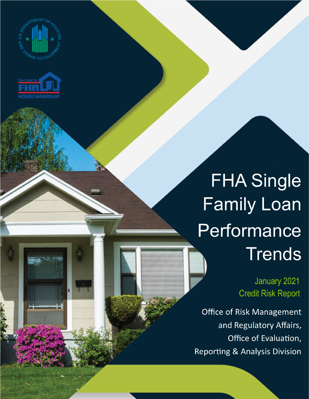



## **FHA Single Family Loan** Performance **Trends**

January 2021 **Credit Risk Report** 

**Office of Risk Management** and Regulatory Affairs, Office of Evaluation, **Reporting & Analysis Division**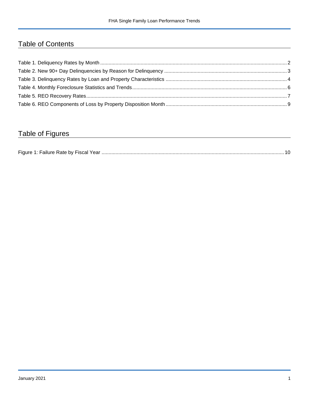## Table of Contents

## Table of Figures

| Figure 1<br>Failure Rate by Fiscal Year. |  |
|------------------------------------------|--|
|------------------------------------------|--|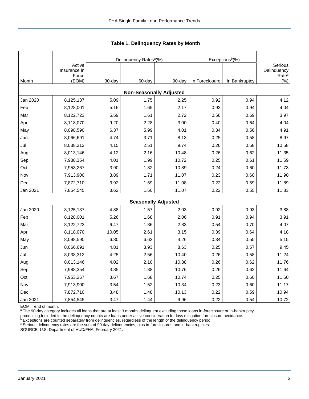|          |                                 |        | Delinquency Rates <sup>a</sup> (%) |        | Exceptions <sup>b</sup> (%) |               |                                             |
|----------|---------------------------------|--------|------------------------------------|--------|-----------------------------|---------------|---------------------------------------------|
|          | Active<br>Insurance in<br>Force |        |                                    |        |                             |               | Serious<br>Delinquency<br>Rate <sup>c</sup> |
| Month    | (EOM)                           | 30-day | 60-day                             | 90-day | In Foreclosure              | In Bankruptcy | (%)                                         |
|          |                                 |        | <b>Non-Seasonally Adjusted</b>     |        |                             |               |                                             |
| Jan 2020 | 8,125,137                       | 5.09   | 1.75                               | 2.25   | 0.92                        | 0.94          | 4.12                                        |
| Feb      | 8,128,001                       | 5.16   | 1.65                               | 2.17   | 0.93                        | 0.94          | 4.04                                        |
| Mar      | 8,122,723                       | 5.59   | 1.61                               | 2.72   | 0.56                        | 0.69          | 3.97                                        |
| Apr      | 8,118,070                       | 9.20   | 2.28                               | 3.00   | 0.40                        | 0.64          | 4.04                                        |
| May      | 8,098,590                       | 6.37   | 5.99                               | 4.01   | 0.34                        | 0.56          | 4.91                                        |
| Jun      | 8,066,691                       | 4.74   | 3.71                               | 8.13   | 0.25                        | 0.58          | 8.97                                        |
| Jul      | 8,038,312                       | 4.15   | 2.51                               | 9.74   | 0.26                        | 0.58          | 10.58                                       |
| Aug      | 8,013,146                       | 4.12   | 2.16                               | 10.48  | 0.26                        | 0.62          | 11.35                                       |
| Sep      | 7,988,354                       | 4.01   | 1.99                               | 10.72  | 0.25                        | 0.61          | 11.59                                       |
| Oct      | 7,953,267                       | 3.90   | 1.82                               | 10.89  | 0.24                        | 0.60          | 11.73                                       |
| Nov      | 7,913,900                       | 3.89   | 1.71                               | 11.07  | 0.23                        | 0.60          | 11.90                                       |
| Dec      | 7,872,710                       | 3.92   | 1.69                               | 11.08  | 0.22                        | 0.59          | 11.89                                       |
| Jan 2021 | 7,854,545                       | 3.62   | 1.60                               | 11.07  | 0.22                        | 0.55          | 11.83                                       |
|          |                                 |        | <b>Seasonally Adjusted</b>         |        |                             |               |                                             |
| Jan 2020 | 8,125,137                       | 4.88   | 1.57                               | 2.03   | 0.92                        | 0.93          | 3.88                                        |
| Feb      | 8,128,001                       | 5.26   | 1.68                               | 2.06   | 0.91                        | 0.94          | 3.91                                        |
| Mar      | 8,122,723                       | 6.47   | 1.86                               | 2.83   | 0.54                        | 0.70          | 4.07                                        |
| Apr      | 8,118,070                       | 10.05  | 2.61                               | 3.15   | 0.39                        | 0.64          | 4.18                                        |
| May      | 8,098,590                       | 6.80   | 6.62                               | 4.26   | 0.34                        | 0.55          | 5.15                                        |
| Jun      | 8,066,691                       | 4.81   | 3.93                               | 8.63   | 0.25                        | 0.57          | 9.45                                        |
| Jul      | 8,038,312                       | 4.25   | 2.56                               | 10.40  | 0.26                        | 0.58          | 11.24                                       |
| Aug      | 8,013,146                       | 4.02   | 2.10                               | 10.88  | 0.26                        | 0.62          | 11.76                                       |
| Sep      | 7,988,354                       | 3.85   | 1.88                               | 10.76  | 0.26                        | 0.62          | 11.64                                       |
| Oct      | 7,953,267                       | 3.67   | 1.68                               | 10.74  | 0.25                        | 0.60          | 11.60                                       |
| Nov      | 7,913,900                       | 3.54   | 1.52                               | 10.34  | 0.23                        | 0.60          | 11.17                                       |
| Dec      | 7,872,710                       | 3.48   | 1.48                               | 10.13  | 0.22                        | 0.59          | 10.94                                       |
| Jan 2021 | 7,854,545                       | 3.47   | 1.44                               | 9.96   | 0.22                        | 0.54          | 10.72                                       |

<span id="page-2-0"></span>**Table 1. Delinquency Rates by Month**

EOM = end of month.

<sup>a</sup> The 90-day category includes all loans that are at least 3 months delinquent excluding those loans in-foreclosure or in-bankruptcy

processing.Included in the delinquency counts are loans under active consideration for loss mitigation foreclosure avoidance.

 $b$  Exceptions are counted separately from delinquencies, regardless of the length of the delinquency period.

<sup>c</sup> Serious delinquency rates are the sum of 90 day delinquencies, plus in-foreclosures and in-bankruptcies.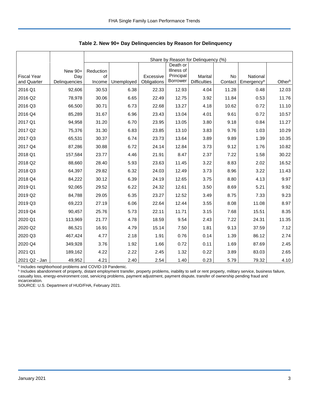|                                   |                      | Share by Reason for Delinquency (%) |            |                          |                         |                                |               |                                    |        |  |
|-----------------------------------|----------------------|-------------------------------------|------------|--------------------------|-------------------------|--------------------------------|---------------|------------------------------------|--------|--|
|                                   |                      |                                     |            |                          | Death or                |                                |               |                                    |        |  |
|                                   | New 90+              | Reduction                           |            |                          | Illness of<br>Principal |                                |               |                                    |        |  |
| <b>Fiscal Year</b><br>and Quarter | Day<br>Delinquencies | of<br>Income                        | Unemployed | Excessive<br>Obligations | <b>Borrower</b>         | Marital<br><b>Difficulties</b> | No<br>Contact | National<br>Emergency <sup>a</sup> | Otherb |  |
| 2016 Q1                           | 92,606               | 30.53                               | 6.38       | 22.33                    | 12.93                   | 4.04                           | 11.28         | 0.48                               | 12.03  |  |
| 2016 Q2                           | 78,978               | 30.06                               | 6.65       | 22.49                    | 12.75                   | 3.92                           | 11.84         | 0.53                               | 11.76  |  |
| 2016 Q3                           | 66,500               | 30.71                               | 6.73       | 22.68                    | 13.27                   | 4.18                           | 10.62         | 0.72                               | 11.10  |  |
| 2016 Q4                           | 85,289               | 31.67                               | 6.96       | 23.43                    | 13.04                   | 4.01                           | 9.61          | 0.72                               | 10.57  |  |
| 2017 Q1                           | 94,958               | 31.20                               | 6.70       | 23.95                    | 13.05                   | 3.80                           | 9.18          | 0.84                               | 11.27  |  |
| 2017 Q2                           | 75,376               | 31.30                               | 6.83       | 23.85                    | 13.10                   | 3.83                           | 9.76          | 1.03                               | 10.29  |  |
| 2017 Q3                           | 65,531               | 30.37                               | 6.74       | 23.73                    | 13.64                   | 3.89                           | 9.89          | 1.39                               | 10.35  |  |
| 2017 Q4                           | 87,286               | 30.88                               | 6.72       | 24.14                    | 12.84                   | 3.73                           | 9.12          | 1.76                               | 10.82  |  |
| 2018 Q1                           | 157,584              | 23.77                               | 4.46       | 21.91                    | 8.47                    | 2.37                           | 7.22          | 1.58                               | 30.22  |  |
| 2018 Q2                           | 88,660               | 28.40                               | 5.93       | 23.63                    | 11.45                   | 3.22                           | 8.83          | 2.02                               | 16.52  |  |
| 2018 Q3                           | 64,397               | 29.82                               | 6.32       | 24.03                    | 12.49                   | 3.73                           | 8.96          | 3.22                               | 11.43  |  |
| 2018 Q4                           | 84,222               | 30.12                               | 6.39       | 24.19                    | 12.65                   | 3.75                           | 8.80          | 4.13                               | 9.97   |  |
| 2019 Q1                           | 92,065               | 29.52                               | 6.22       | 24.32                    | 12.61                   | 3.50                           | 8.69          | 5.21                               | 9.92   |  |
| 2019 Q2                           | 84,788               | 29.05                               | 6.35       | 23.27                    | 12.52                   | 3.49                           | 8.75          | 7.33                               | 9.23   |  |
| 2019 Q3                           | 69,223               | 27.19                               | 6.06       | 22.64                    | 12.44                   | 3.55                           | 8.08          | 11.08                              | 8.97   |  |
| 2019 Q4                           | 90,457               | 25.76                               | 5.73       | 22.11                    | 11.71                   | 3.15                           | 7.68          | 15.51                              | 8.35   |  |
| 2020 Q1                           | 113,969              | 21.77                               | 4.78       | 18.59                    | 9.54                    | 2.43                           | 7.22          | 24.31                              | 11.35  |  |
| 2020 Q2                           | 86,521               | 16.91                               | 4.79       | 15.14                    | 7.50                    | 1.81                           | 9.13          | 37.59                              | 7.12   |  |
| 2020 Q3                           | 467,424              | 4.77                                | 2.18       | 1.91                     | 0.76                    | 0.14                           | 1.39          | 86.12                              | 2.74   |  |
| 2020 Q4                           | 349,928              | 3.76                                | 1.92       | 1.66                     | 0.72                    | 0.11                           | 1.69          | 87.69                              | 2.45   |  |
| 2021 Q1                           | 189,162              | 4.22                                | 2.22       | 2.45                     | 1.32                    | 0.22                           | 3.89          | 83.03                              | 2.65   |  |
| 2021 Q2 - Jan                     | 49,952               | 4.21                                | 2.40       | 2.54                     | 1.40                    | 0.23                           | 5.79          | 79.32                              | 4.10   |  |

<span id="page-3-0"></span>**Table 2. New 90+ Day Delinquencies by Reason for Delinquency**

<sup>a</sup> Includes neighborhood problems and COVID-19 Pandemic.<br><sup>b</sup> Includes abandonment of property, distant employment transfer, property problems, inability to sell or rent property, military service, business failure, casualty loss, energy-environment cost, servicing problems, payment adjustment, payment dispute, transfer of ownership pending fraud and incarceration.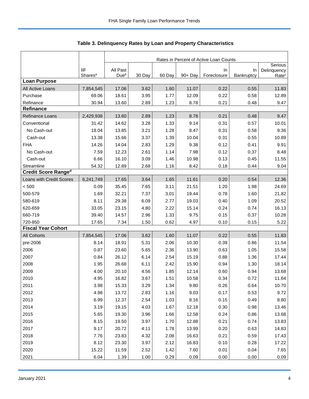|                            |                     | Rates in Percent of Active Loan Counts |        |        |            |             |            |                        |  |
|----------------------------|---------------------|----------------------------------------|--------|--------|------------|-------------|------------|------------------------|--|
|                            | <b>IIF</b>          | All Past                               |        |        |            | In          | In         | Serious<br>Delinquency |  |
|                            | Shares <sup>a</sup> | Due <sup>b</sup>                       | 30 Day | 60 Day | $90 + Day$ | Foreclosure | Bankruptcy | Rate <sup>c</sup>      |  |
| <b>Loan Purpose</b>        |                     |                                        |        |        |            |             |            |                        |  |
| All Active Loans           | 7,854,545           | 17.06                                  | 3.62   | 1.60   | 11.07      | 0.22        | 0.55       | 11.83                  |  |
| Purchase                   | 69.06               | 18.61                                  | 3.95   | 1.77   | 12.09      | 0.22        | 0.58       | 12.89                  |  |
| Refinance                  | 30.94               | 13.60                                  | 2.89   | 1.23   | 8.78       | 0.21        | 0.48       | 9.47                   |  |
| <b>Refinance</b>           |                     |                                        |        |        |            |             |            |                        |  |
| Refinance Loans            | 2,429,938           | 13.60                                  | 2.89   | 1.23   | 8.78       | 0.21        | 0.48       | 9.47                   |  |
| Conventional               | 31.42               | 14.62                                  | 3.28   | 1.33   | 9.14       | 0.31        | 0.57       | 10.01                  |  |
| No Cash-out                | 18.04               | 13.85                                  | 3.21   | 1.28   | 8.47       | 0.31        | 0.58       | 9.36                   |  |
| Cash-out                   | 13.38               | 15.66                                  | 3.37   | 1.39   | 10.04      | 0.31        | 0.55       | 10.89                  |  |
| <b>FHA</b>                 | 14.26               | 14.04                                  | 2.83   | 1.29   | 9.38       | 0.12        | 0.41       | 9.91                   |  |
| No Cash-out                | 7.59                | 12.23                                  | 2.61   | 1.14   | 7.98       | 0.12        | 0.37       | 8.48                   |  |
| Cash-out                   | 6.66                | 16.10                                  | 3.09   | 1.46   | 10.98      | 0.13        | 0.45       | 11.55                  |  |
| Streamline                 | 54.32               | 12.89                                  | 2.68   | 1.16   | 8.42       | 0.18        | 0.44       | 9.04                   |  |
| <b>Credit Score Ranged</b> |                     |                                        |        |        |            |             |            |                        |  |
| Loans with Credit Scores   | 6,241,749           | 17.65                                  | 3.64   | 1.65   | 11.61      | 0.20        | 0.54       | 12.36                  |  |
| < 500                      | 0.09                | 35.45                                  | 7.65   | 3.11   | 21.51      | 1.20        | 1.98       | 24.69                  |  |
| 500-579                    | 1.69                | 32.21                                  | 7.37   | 3.01   | 19.44      | 0.78        | 1.60       | 21.82                  |  |
| 580-619                    | 8.11                | 29.38                                  | 6.09   | 2.77   | 19.03      | 0.40        | 1.09       | 20.52                  |  |
| 620-659                    | 33.05               | 23.15                                  | 4.80   | 2.22   | 15.14      | 0.24        | 0.74       | 16.13                  |  |
| 660-719                    | 39.40               | 14.57                                  | 2.96   | 1.33   | 9.75       | 0.15        | 0.37       | 10.28                  |  |
| 720-850                    | 17.65               | 7.34                                   | 1.50   | 0.62   | 4.97       | 0.10        | 0.15       | 5.22                   |  |
| <b>Fiscal Year Cohort</b>  |                     |                                        |        |        |            |             |            |                        |  |
| <b>All Cohorts</b>         | 7,854,545           | 17.06                                  | 3.62   | 1.60   | 11.07      | 0.22        | 0.55       | 11.83                  |  |
| pre-2006                   | 8.14                | 18.91                                  | 5.31   | 2.06   | 10.30      | 0.39        | 0.86       | 11.54                  |  |
| 2006                       | 0.87                | 23.60                                  | 5.65   | 2.36   | 13.90      | 0.63        | 1.05       | 15.58                  |  |
| 2007                       | 0.84                | 26.12                                  | 6.14   | 2.54   | 15.19      | 0.88        | 1.36       | 17.44                  |  |
| 2008                       | 1.95                | 26.68                                  | 6.11   | 2.42   | 15.90      | 0.94        | 1.30       | 18.14                  |  |
| 2009                       | 4.00                | 20.10                                  | 4.56   | 1.85   | 12.14      | 0.60        | 0.94       | 13.68                  |  |
| 2010                       | 4.95                | 16.82                                  | 3.67   | 1.51   | 10.58      | 0.34        | 0.72       | 11.64                  |  |
| 2011                       | 3.98                | 15.33                                  | 3.29   | 1.34   | 9.80       | 0.26        | 0.64       | 10.70                  |  |
| 2012                       | 4.98                | 13.72                                  | 2.83   | 1.16   | 9.03       | 0.17        | 0.53       | 9.72                   |  |
| 2013                       | 6.99                | 12.37                                  | 2.54   | 1.03   | 8.16       | 0.15        | 0.49       | 8.80                   |  |
| 2014                       | 3.19                | 19.15                                  | 4.03   | 1.67   | 12.18      | 0.30        | 0.98       | 13.46                  |  |
| 2015                       | 5.65                | 19.30                                  | 3.96   | 1.66   | 12.58      | 0.24        | 0.86       | 13.68                  |  |
| 2016                       | 8.15                | 19.50                                  | 3.97   | 1.70   | 12.88      | 0.21        | 0.74       | 13.83                  |  |
| 2017                       | 9.17                | 20.72                                  | 4.11   | 1.78   | 13.99      | 0.20        | 0.63       | 14.83                  |  |
| 2018                       | 7.76                | 23.83                                  | 4.32   | 2.08   | 16.63      | 0.21        | 0.59       | 17.43                  |  |
| 2019                       | 8.12                | 23.30                                  | 3.97   | 2.12   | 16.83      | 0.10        | 0.28       | 17.22                  |  |
| 2020                       | 15.22               | 11.59                                  | 2.52   | 1.42   | 7.60       | 0.01        | 0.04       | 7.65                   |  |
| 2021                       | 6.04                | 1.39                                   | 1.00   | 0.29   | 0.09       | 0.00        | 0.00       | 0.09                   |  |

<span id="page-4-0"></span>Table 3. Delinquency Rates by Loan and Property Characteristics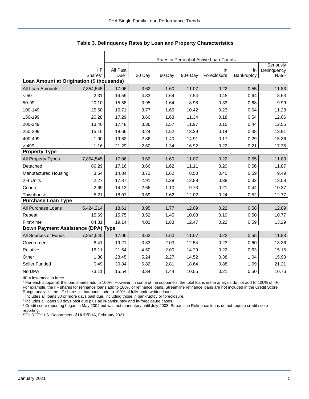|                                           |                                   |                              | Rates in Percent of Active Loan Counts |        |         |                   |                  |                                  |  |
|-------------------------------------------|-----------------------------------|------------------------------|----------------------------------------|--------|---------|-------------------|------------------|----------------------------------|--|
|                                           |                                   |                              |                                        |        |         |                   |                  | Seriously                        |  |
|                                           | <b>IIF</b><br>Shares <sup>a</sup> | All Past<br>Due <sup>b</sup> | 30 Day                                 | 60 Day | 90+ Day | In<br>Foreclosure | In<br>Bankruptcy | Delinquency<br>Rate <sup>c</sup> |  |
| Loan Amount at Origination (\$ thousands) |                                   |                              |                                        |        |         |                   |                  |                                  |  |
| All Loan Amounts                          | 7,854,545                         | 17.06                        | 3.62                                   | 1.60   | 11.07   | 0.22              | 0.55             | 11.83                            |  |
| < 50                                      | 2.31                              | 14.59                        | 4.33                                   | 1.64   | 7.54    | 0.45              | 0.64             | 8.63                             |  |
| 50-99                                     | 20.10                             | 15.58                        | 3.95                                   | 1.64   | 8.98    | 0.33              | 0.68             | 9.99                             |  |
| 100-149                                   | 25.68                             | 16.71                        | 3.77                                   | 1.65   | 10.42   | 0.23              | 0.64             | 11.28                            |  |
| 150-199                                   | 20.28                             | 17.29                        | 3.60                                   | 1.63   | 11.34   | 0.18              | 0.54             | 12.06                            |  |
| 200-249                                   | 13.40                             | 17.48                        | 3.36                                   | 1.57   | 11.97   | 0.15              | 0.44             | 12.55                            |  |
| 250-399                                   | 15.16                             | 18.66                        | 3.24                                   | 1.52   | 13.39   | 0.14              | 0.38             | 13.91                            |  |
| 400-499                                   | 1.90                              | 19.62                        | 2.86                                   | 1.40   | 14.91   | 0.17              | 0.29             | 15.36                            |  |
| > 499                                     | 1.16                              | 21.29                        | 2.60                                   | 1.34   | 16.92   | 0.22              | 0.21             | 17.35                            |  |
| <b>Property Type</b>                      |                                   |                              |                                        |        |         |                   |                  |                                  |  |
| All Property Types                        | 7,854,545                         | 17.06                        | 3.62                                   | 1.60   | 11.07   | 0.22              | 0.55             | 11.83                            |  |
| Detached                                  | 86.29                             | 17.16                        | 3.66                                   | 1.62   | 11.11   | 0.20              | 0.56             | 11.87                            |  |
| <b>Manufactured Housing</b>               | 3.54                              | 14.84                        | 3.73                                   | 1.62   | 8.50    | 0.40              | 0.59             | 9.49                             |  |
| 2-4 Units                                 | 2.27                              | 17.87                        | 2.91                                   | 1.38   | 12.88   | 0.38              | 0.32             | 13.58                            |  |
| Condo                                     | 2.69                              | 14.13                        | 2.66                                   | 1.10   | 9.73    | 0.21              | 0.44             | 10.37                            |  |
| Townhouse                                 | 5.21                              | 18.07                        | 3.69                                   | 1.62   | 12.02   | 0.24              | 0.52             | 12.77                            |  |
| <b>Purchase Loan Type</b>                 |                                   |                              |                                        |        |         |                   |                  |                                  |  |
| All Purchase Loans                        | 5,424,214                         | 18.61                        | 3.95                                   | 1.77   | 12.09   | 0.22              | 0.58             | 12.89                            |  |
| Repeat                                    | 15.69                             | 15.75                        | 3.52                                   | 1.45   | 10.08   | 0.19              | 0.50             | 10.77                            |  |
| First-time                                | 84.31                             | 19.14                        | 4.02                                   | 1.83   | 12.47   | 0.22              | 0.59             | 13.29                            |  |
| Down Payment Assistance (DPA) Type        |                                   |                              |                                        |        |         |                   |                  |                                  |  |
| All Sources of Funds                      | 7,854,545                         | 17.06                        | 3.62                                   | 1.60   | 11.07   | 0.22              | 0.55             | 11.83                            |  |
| Government                                | 8.41                              | 19.21                        | 3.83                                   | 2.03   | 12.54   | 0.23              | 0.60             | 13.36                            |  |
| Relative                                  | 16.11                             | 21.64                        | 4.50                                   | 2.00   | 14.29   | 0.22              | 0.63             | 15.15                            |  |
| Other                                     | 1.88                              | 23.45                        | 5.24                                   | 2.27   | 14.52   | 0.38              | 1.04             | 15.93                            |  |
| Seller Funded                             | 0.49                              | 30.84                        | 6.82                                   | 2.81   | 18.64   | 0.88              | 1.69             | 21.21                            |  |
| No DPA                                    | 73.11                             | 15.54                        | 3.34                                   | 1.44   | 10.05   | 0.21              | 0.50             | 10.76                            |  |

**Table 3. Delinquency Rates by Loan and Property Characteristics**

IIF = insurance in force.

<sup>a</sup> For each subpanel, the loan shares add to 100%. However, in some of the subpanels, the total loans in the analysis do not add to 100% of IIF. For example, the IIF shares for refinance loans add to 100% of refinance loans. Streamline refinance loans are not included in the Credit Score

Range analysis; the IIF shares in that panel, add to 100% of fully-underwritten loans.<br><sup>b</sup> Includes all loans 30 or more days past due, including those in bankruptcy or foreclosure.

c Includes all loans 90 days past due plus all in-bankruptcy and in-foreclosure cases.

<sup>d</sup> Credit score reporting began in May 2004 but was not mandatory until July 2008. Streamline Refinance loans do not require credit score reporting.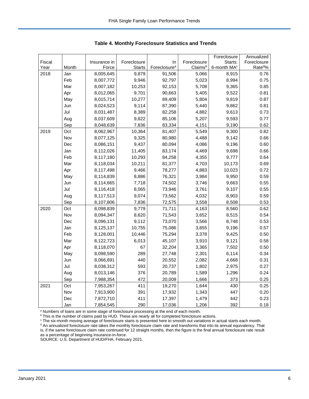|        |       |              |               |                          |             | Foreclosure             | Annualized           |
|--------|-------|--------------|---------------|--------------------------|-------------|-------------------------|----------------------|
| Fiscal |       | Insurance in | Foreclosure   | In                       | Foreclosure | Starts:                 | Foreclosure          |
| Year   | Month | Force        | <b>Starts</b> | Foreclosure <sup>a</sup> | Claimsb     | 6-month MA <sup>c</sup> | Rate <sup>do</sup> % |
| 2018   | Jan   | 8,005,645    | 9,879         | 91,506                   | 5,066       | 8,915                   | 0.76                 |
|        | Feb   | 8,007,772    | 9,946         | 92,797                   | 5,023       | 8,994                   | 0.75                 |
|        | Mar   | 8,007,182    | 10,253        | 92,153                   | 5,708       | 9,365                   | 0.85                 |
|        | Apr   | 8,012,065    | 9,701         | 90,663                   | 5,405       | 9,522                   | 0.81                 |
|        | May   | 8,015,714    | 10,277        | 89,409                   | 5,804       | 9,819                   | 0.87                 |
|        | Jun   | 8,024,523    | 9,114         | 87,390                   | 5,440       | 9,862                   | 0.81                 |
|        | Jul   | 8,031,487    | 8,389         | 82,258                   | 4,882       | 9,613                   | 0.73                 |
|        | Aug   | 8,037,609    | 9,822         | 85,106                   | 5,207       | 9,593                   | 0.77                 |
|        | Sep   | 8,048,639    | 7,836         | 83,334                   | 4,151       | 9,190                   | 0.62                 |
| 2019   | Oct   | 8,062,967    | 10,364        | 81,407                   | 5,549       | 9,300                   | 0.82                 |
|        | Nov   | 8,077,125    | 9,325         | 80,980                   | 4,488       | 9,142                   | 0.66                 |
|        | Dec   | 8,086,151    | 9,437         | 80,094                   | 4,086       | 9,196                   | 0.60                 |
|        | Jan   | 8,112,026    | 11,405        | 83,174                   | 4,469       | 9,698                   | 0.66                 |
|        | Feb   | 8,117,180    | 10,293        | 84,258                   | 4,355       | 9,777                   | 0.64                 |
|        | Mar   | 8,118,034    | 10,211        | 81,377                   | 4,703       | 10,173                  | 0.69                 |
|        | Apr   | 8,117,498    | 9,466         | 78,277                   | 4,883       | 10,023                  | 0.72                 |
|        | May   | 8,114,839    | 8,886         | 76,321                   | 3,984       | 9,950                   | 0.59                 |
|        | Jun   | 8,114,665    | 7,718         | 74,502                   | 3,746       | 9,663                   | 0.55                 |
|        | Jul   | 8,116,418    | 8,065         | 73,946                   | 3,761       | 9,107                   | 0.55                 |
|        | Aug   | 8,117,513    | 9,074         | 73,562                   | 4,032       | 8,903                   | 0.59                 |
|        | Sep   | 8,107,806    | 7,836         | 72,575                   | 3,558       | 8,508                   | 0.53                 |
| 2020   | Oct   | 8,098,839    | 9,779         | 71,711                   | 4,163       | 8,560                   | 0.62                 |
|        | Nov   | 8,094,347    | 8,620         | 71,543                   | 3,652       | 8,515                   | 0.54                 |
|        | Dec   | 8,096,131    | 9,112         | 73,070                   | 3,566       | 8,748                   | 0.53                 |
|        | Jan   | 8,125,137    | 10,755        | 75,086                   | 3,855       | 9,196                   | 0.57                 |
|        | Feb   | 8,128,001    | 10,446        | 75,294                   | 3,378       | 9,425                   | 0.50                 |
|        | Mar   | 8,122,723    | 6,013         | 45,107                   | 3,910       | 9,121                   | 0.58                 |
|        | Apr   | 8,118,070    | 67            | 32,204                   | 3,365       | 7,502                   | 0.50                 |
|        | May   | 8,098,590    | 289           | 27,748                   | 2,301       | 6,114                   | 0.34                 |
|        | Jun   | 8,066,691    | 440           | 20,552                   | 2,082       | 4,668                   | 0.31                 |
|        | Jul   | 8,038,312    | 593           | 20,737                   | 1,802       | 2,975                   | 0.27                 |
|        | Aug   | 8,013,146    | 376           | 20,789                   | 1,589       | 1,296                   | 0.24                 |
|        | Sep   | 7,988,354    | 472           | 20,009                   | 1,666       | 373                     | 0.25                 |
| 2021   | Oct   | 7,953,267    | 411           | 19,270                   | 1,644       | 430                     | 0.25                 |
|        | Nov   | 7,913,900    | 391           | 17,932                   | 1,343       | 447                     | 0.20                 |
|        | Dec   | 7,872,710    | 411           | 17,397                   | 1,479       | 442                     | 0.23                 |
|        | Jan   | 7,854,545    | 290           | 17,036                   | 1,206       | 392                     | 0.18                 |

<span id="page-6-0"></span>**Table 4. Monthly Foreclosure Statistics and Trends**

<sup>a</sup> Numbers of loans are in some stage of foreclosure processing at the end of each month.

b This is the number of claims paid by HUD. These are nearly all for completed foreclosure actions.

<sup>c</sup> The six-month moving average of foreclosure starts is presented here to smooth out variations in actual starts each month. <sup>d</sup> An annualized foreclosure rate takes the monthly foreclosure claim rate and transforms that into its annual equivalency. That is, if the same foreclosure claim rate continued for 12 straight months, then the figure is the final annual foreclosure rate result as a percentage of beginning insurance-in-force.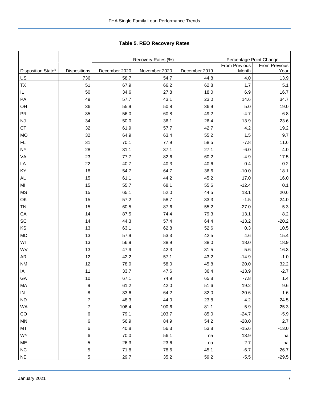|                                |                  |               | Recovery Rates (%) |               | Percentage Point Change       |                              |  |  |
|--------------------------------|------------------|---------------|--------------------|---------------|-------------------------------|------------------------------|--|--|
| Disposition State <sup>b</sup> | Dispositions     | December 2020 | November 2020      | December 2019 | <b>From Previous</b><br>Month | <b>From Previous</b><br>Year |  |  |
| <u>US</u>                      | 736              | 58.7          | 54.7               | 44.8          | 4.0                           | 13.9                         |  |  |
| TX                             | 51               | 67.9          | 66.2               | 62.8          | 1.7                           | 5.1                          |  |  |
| IL.                            | 50               | 34.6          | 27.8               | 18.0          | 6.9                           | 16.7                         |  |  |
| PA                             | 49               | 57.7          | 43.1               | 23.0          | 14.6                          | 34.7                         |  |  |
| OH                             | 36               | 55.9          | 50.8               | 36.9          | 5.0                           | 19.0                         |  |  |
| PR                             | 35               | 56.0          | 60.8               | 49.2          | $-4.7$                        | 6.8                          |  |  |
| NJ                             | 34               | 50.0          | 36.1               | 26.4          | 13.9                          | 23.6                         |  |  |
| СT                             | 32               | 61.9          | 57.7               | 42.7          | 4.2                           | 19.2                         |  |  |
| <b>MO</b>                      | 32               | 64.9          | 63.4               | 55.2          | 1.5                           | 9.7                          |  |  |
| FL                             | 31               | 70.1          | 77.9               | 58.5          | $-7.8$                        | 11.6                         |  |  |
| NΥ                             | 28               | 31.1          | 37.1               | 27.1          | $-6.0$                        | 4.0                          |  |  |
| VA                             | 23               | 77.7          | 82.6               | 60.2          | $-4.9$                        | 17.5                         |  |  |
| LA                             | 22               | 40.7          | 40.3               | 40.6          | 0.4                           | 0.2                          |  |  |
| ΚY                             | 18               | 54.7          | 64.7               | 36.6          | $-10.0$                       | 18.1                         |  |  |
| AL                             | 15               | 61.1          | 44.2               | 45.2          | 17.0                          | 16.0                         |  |  |
| ΜI                             | 15               | 55.7          | 68.1               | 55.6          | $-12.4$                       | 0.1                          |  |  |
| MS                             | 15               | 65.1          | 52.0               | 44.5          | 13.1                          | 20.6                         |  |  |
| OK                             | 15               | 57.2          | 58.7               | 33.3          | $-1.5$                        | 24.0                         |  |  |
| TN                             | 15               | 60.5          | 87.6               | 55.2          | $-27.0$                       | 5.3                          |  |  |
| СA                             | 14               | 87.5          | 74.4               | 79.3          | 13.1                          | 8.2                          |  |  |
| SC                             | 14               | 44.3          | 57.4               | 64.4          | $-13.2$                       | $-20.2$                      |  |  |
| ΚS                             | 13               | 63.1          | 62.8               | 52.6          | 0.3                           | 10.5                         |  |  |
| <b>MD</b>                      | 13               | 57.9          | 53.3               | 42.5          | 4.6                           | 15.4                         |  |  |
| WI                             | 13               | 56.9          | 38.9               | 38.0          | 18.0                          | 18.9                         |  |  |
| WV                             | 13               | 47.9          | 42.3               | 31.5          | 5.6                           | 16.3                         |  |  |
| AR                             | 12               | 42.2          | 57.1               | 43.2          | $-14.9$                       | $-1.0$                       |  |  |
| <b>NM</b>                      | 12               | 78.0          | 58.0               | 45.8          | 20.0                          | 32.2                         |  |  |
| ΙA                             | 11               | 33.7          | 47.6               | 36.4          | $-13.9$                       | $-2.7$                       |  |  |
| GА                             | 10               | 67.1          | 74.9               | 65.8          | $-7.8$                        | 1.4                          |  |  |
| МA                             | 9                | 61.2          | 42.0               | 51.6          | 19.2                          | 9.6                          |  |  |
| IN                             | 8                | 33.6          | 64.2               | 32.0          | $-30.6$                       | $1.6\,$                      |  |  |
| ND                             | $\boldsymbol{7}$ | 48.3          | 44.0               | 23.8          | 4.2                           | 24.5                         |  |  |
| WA                             | 7                | 106.4         | 100.6              | 81.1          | 5.9                           | 25.3                         |  |  |
| CO                             | 6                | 79.1          | 103.7              | 85.0          | $-24.7$                       | $-5.9$                       |  |  |
| MN                             | 6                | 56.9          | 84.9               | 54.2          | $-28.0$                       | 2.7                          |  |  |
| МT                             | 6                | 40.8          | 56.3               | 53.8          | $-15.6$                       | $-13.0$                      |  |  |
| WY                             | 6                | 70.0          | 56.1               | na            | 13.9                          | na                           |  |  |
| ME                             | 5                | 26.3          | 23.6               | na            | 2.7                           | na                           |  |  |
| NC                             | 5                | 71.8          | 78.6               | 45.1          | $-6.7$                        | 26.7                         |  |  |

NE 5 29.7 35.2 59.2 -5.5 -29.5

<span id="page-7-0"></span>Tabl e 5. REO R ecovery R ates **Table 5. REO Recovery Rates**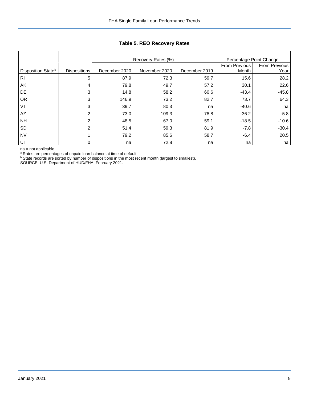|                                |                     |               | Recovery Rates (%) | Percentage Point Change |                        |                              |
|--------------------------------|---------------------|---------------|--------------------|-------------------------|------------------------|------------------------------|
| Disposition State <sup>b</sup> | <b>Dispositions</b> | December 2020 | November 2020      | December 2019           | From Previous<br>Month | <b>From Previous</b><br>Year |
| R <sub>l</sub>                 | 5                   | 87.9          | 72.3               | 59.7                    | 15.6                   | 28.2                         |
| AK                             | 4                   | 79.8          | 49.7               | 57.2                    | 30.1                   | 22.6                         |
| <b>DE</b>                      | 3                   | 14.8          | 58.2               | 60.6                    | $-43.4$                | $-45.8$                      |
| <b>OR</b>                      | 3                   | 146.9         | 73.2               | 82.7                    | 73.7                   | 64.3                         |
| VT                             | 3                   | 39.7          | 80.3               | na                      | $-40.6$                | na                           |
| AZ                             | 2                   | 73.0          | 109.3              | 78.8                    | $-36.2$                | $-5.8$                       |
| <b>NH</b>                      | 2                   | 48.5          | 67.0               | 59.1                    | $-18.5$                | $-10.6$                      |
| <b>SD</b>                      | 2                   | 51.4          | 59.3               | 81.9                    | $-7.8$                 | $-30.4$                      |
| <b>NV</b>                      |                     | 79.2          | 85.6               | 58.7                    | $-6.4$                 | 20.5                         |
| UT                             |                     | na            | 72.8               | na                      | na                     | na                           |

## **Table 5. REO Recovery Rates**

na = not applicable

<sup>a</sup> Rates are percentages of unpaid loan balance at time of default.

<sup>b</sup> State records are sorted by number of dispositions in the most recent month (largest to smallest).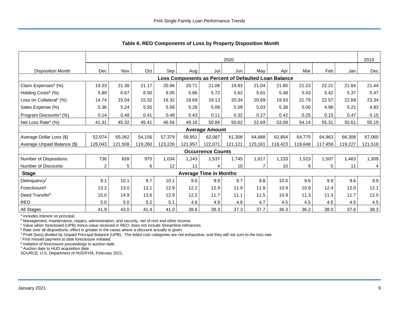|                                     | 2020           |         |         |         |         |                               |         |                                                      |                 | 2019    |         |         |                |
|-------------------------------------|----------------|---------|---------|---------|---------|-------------------------------|---------|------------------------------------------------------|-----------------|---------|---------|---------|----------------|
| <b>Disposition Month</b>            | <b>Dec</b>     | Nov     | Oct     | Sep     | Aug     | Jul                           | Jun     | May                                                  | Apr             | Mar     | Feb     | Jan     | Dec            |
|                                     |                |         |         |         |         |                               |         | Loss Components as Percent of Defaulted Loan Balance |                 |         |         |         |                |
| Claim Expenses <sup>a</sup> (%)     | 19.33          | 21.38   | 21.17   | 20.96   | 20.71   | 21.06                         | 19.83   | 21.04                                                | 21.85           | 21.23   | 22.21   | 21.84   | 21.44          |
| Holding Costs <sup>b</sup> (%)      | 5.89           | 6.67    | 6.50    | 6.05    | 5.86    | 5.72                          | 5.62    | 5.61                                                 | 5.48            | 5.43    | 5.42    | 5.37    | 5.47           |
| Loss on Collateral <sup>c</sup> (%) | 14.74          | 15.04   | 15.32   | 16.32   | 18.69   | 19.13                         | 20.34   | 20.69                                                | 19.93           | 21.79   | 22.57   | 22.69   | 23.34          |
| Sales Expense (%)                   | 5.36           | 5.24    | 5.55    | 5.58    | 5.28    | 5.08                          | 5.09    | 5.03                                                 | 5.38            | 5.00    | 4.98    | 5.21    | 4.83           |
| Program Discounts <sup>d</sup> (%)  | 0.14           | 0.48    | 0.41    | 0.48    | 0.43    | 0.11                          | 0.32    | 0.27                                                 | 0.42            | 0.25    | 0.15    | 0.47    | 0.15           |
| Net Loss Rate <sup>e</sup> (%)      | 41.31          | 45.32   | 45.41   | 46.56   | 49.16   | 50.86                         | 50.62   | 52.69                                                | 53.08           | 54.14   | 55.31   | 55.61   | 55.19          |
|                                     |                |         |         |         |         | <b>Average Amount</b>         |         |                                                      |                 |         |         |         |                |
| Average Dollar Loss (\$)            | 52,074         | 55,062  | 54,156  | 57,379  | 59,951  | 62,087                        | 61,308  | 64,888                                               | 62,854          | 64,775  | 64,963  | 66,308  | 67,060         |
| Average Unpaid Balance (\$)         | 126,043        | 121,508 | 119,260 | 123,226 | 121,957 | 122,071                       | 121,121 | 123,161                                              | 118,423         | 119,648 | 117,459 | 119,227 | 121,518        |
|                                     |                |         |         |         |         | <b>Occurrence Counts</b>      |         |                                                      |                 |         |         |         |                |
| Number of Dispositions              | 736            | 659     | 970     | 1,034   | 1,243   | 1,537                         | 1,745   | 1,617                                                | 1,233           | 1,523   | 1,507   | 1,463   | 1,309          |
| Number of Discounts                 | $\overline{c}$ | 5       | 6       | 12      | 11      | 4                             | 10      | 7                                                    | 10 <sup>°</sup> | 9       | 5       | 11      | $\overline{4}$ |
| <b>Stage</b>                        |                |         |         |         |         | <b>Average Time in Months</b> |         |                                                      |                 |         |         |         |                |
| Delinquencyf                        | 9.1            | 10.1    | 9.7     | 10.1    | 9.6     | 9.9                           | 9.7     | 9.8                                                  | 10.0            | 9.6     | 9.9     | 9.6     | 9.9            |
| Foreclosure <sup>g</sup>            | 13.2           | 13.0    | 13.1    | 12.9    | 12.2    | 12.9                          | 11.9    | 11.8                                                 | 10.9            | 10.9    | 12.4    | 12.0    | 12.1           |
| Deed Transferh                      | 15.0           | 14.9    | 13.6    | 12.9    | 12.2    | 11.7                          | 11.1    | 11.5                                                 | 10.9            | 11.3    | 11.3    | 11.7    | 12.0           |
| <b>REO</b>                          | 5.0            | 5.0     | 5.2     | 5.1     | 4.8     | 4.9                           | 4.8     | 4.7                                                  | 4.5             | 4.5     | 4.5     | 4.5     | 4.5            |
| All Stages                          | 41.9           | 43.0    | 41.4    | 41.0    | 38.8    | 39.3                          | 37.3    | 37.7                                                 | 36.3            | 36.2    | 38.0    | 37.6    | 38.3           |

<span id="page-9-0"></span>**Table 6. REO Components of Loss by Property Disposition Month**

<sup>a</sup> Includes interest on principal.

**b** Management, maintenance, repairs, administration, and security, net of rent and other income.

<sup>c</sup> Value when foreclosed (UPB) minus value received in REO; does not include Streamline refinances.

<sup>d</sup> Rate over all dispositions; effect is greater in the cases where a discount actually is given.

<sup>e</sup> Profit (loss) divided by Unpaid Principal Balance (UPB). The listed cost categories are not exhaustive, and they will not sum to the loss rate

<sup>f</sup> First missed payment to date foreclosure initiated.

<sup>g</sup> Initiation of foreclosure proceedings to auction date.

h Auction date to HUD acquisition date.